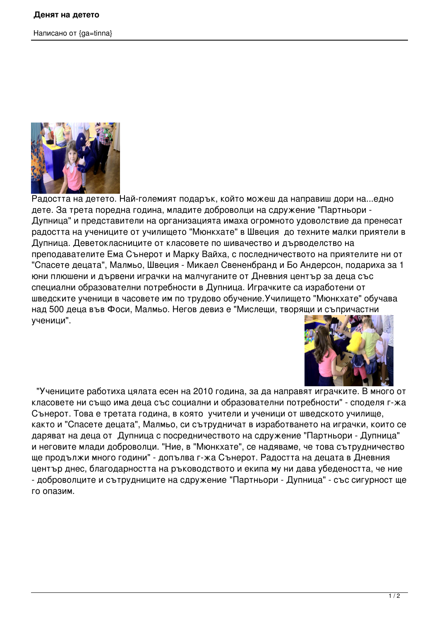Написано от {ga=tinna}



Радостта на детето. Най-големият подарък, който можеш да направиш дори на...едно дете. За трета поредна година, младите доброволци на сдружение "Партньори - Дупница" и представители на организацията имаха огромното удоволствие да пренесат радостта на учениците от училището "Мюнкхате" в Швеция до техните малки приятели в Дупница. Деветокласниците от класовете по шивачество и дърводелство на преподавателите Ема Сънерот и Марку Вайха, с последничеството на приятелите ни от "Спасете децата", Малмьо, Швеция - Микаел Свененбранд и Бо Андерсон, подариха за 1 юни плюшени и дървени играчки на малчуганите от Дневния център за деца със специални образователни потребности в Дупница. Играчките са изработени от шведските ученици в часовете им по трудово обучение.Училището "Мюнкхате" обучава над 500 деца във Фоси, Малмьо. Негов девиз е "Мислещи, творящи и съпричастни ученици".



 "Учениците работиха цялата есен на 2010 година, за да направят играчките. В много от класовете ни също има деца със социални и образователни потребности" - споделя г-жа Сънерот. Това е третата година, в която учители и ученици от шведското училище, както и "Спасете децата", Малмьо, си сътрудничат в изработването на играчки, които се даряват на деца от Дупница с посредничеството на сдружение "Партньори - Дупница" и неговите млади доброволци. "Ние, в "Мюнкхате", се надяваме, че това сътрудничество ще продължи много години" - допълва г-жа Сънерот. Радостта на децата в Дневния център днес, благодарността на ръководството и екипа му ни дава убедеността, че ние - доброволците и сътрудниците на сдружение "Партньори - Дупница" - със сигурност ще го опазим.